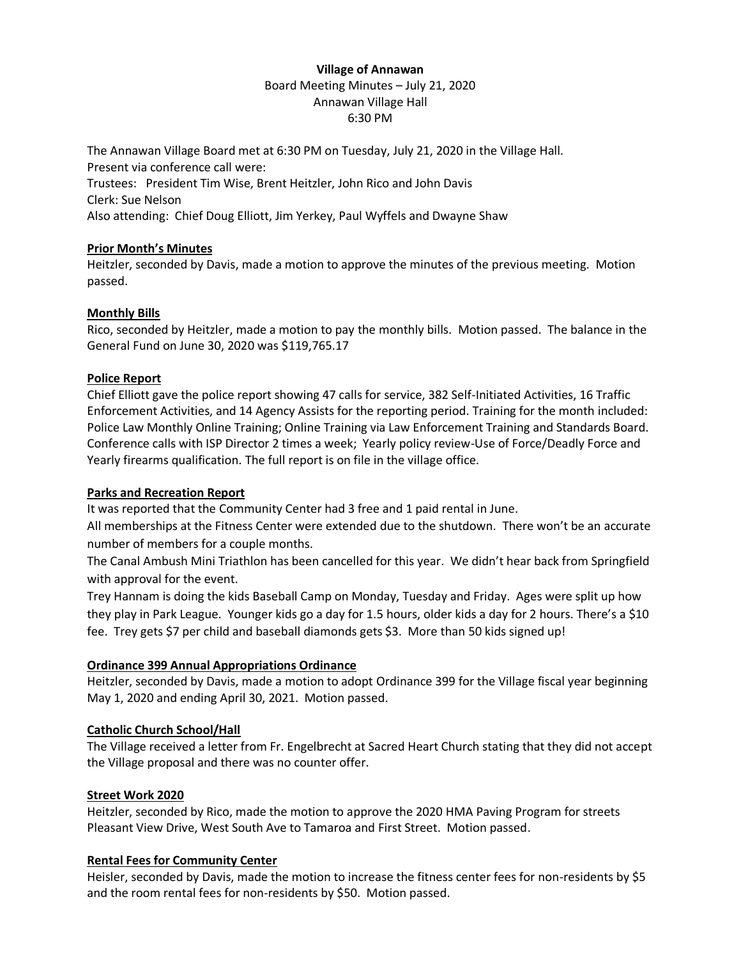# **Village of Annawan** Board Meeting Minutes – July 21, 2020 Annawan Village Hall 6:30 PM

The Annawan Village Board met at 6:30 PM on Tuesday, July 21, 2020 in the Village Hall. Present via conference call were: Trustees: President Tim Wise, Brent Heitzler, John Rico and John Davis Clerk: Sue Nelson Also attending: Chief Doug Elliott, Jim Yerkey, Paul Wyffels and Dwayne Shaw

# **Prior Month's Minutes**

Heitzler, seconded by Davis, made a motion to approve the minutes of the previous meeting. Motion passed.

# **Monthly Bills**

Rico, seconded by Heitzler, made a motion to pay the monthly bills. Motion passed. The balance in the General Fund on June 30, 2020 was \$119,765.17

# **Police Report**

Chief Elliott gave the police report showing 47 calls for service, 382 Self-Initiated Activities, 16 Traffic Enforcement Activities, and 14 Agency Assists for the reporting period. Training for the month included: Police Law Monthly Online Training; Online Training via Law Enforcement Training and Standards Board. Conference calls with ISP Director 2 times a week; Yearly policy review-Use of Force/Deadly Force and Yearly firearms qualification. The full report is on file in the village office.

### **Parks and Recreation Report**

It was reported that the Community Center had 3 free and 1 paid rental in June.

All memberships at the Fitness Center were extended due to the shutdown. There won't be an accurate number of members for a couple months.

The Canal Ambush Mini Triathlon has been cancelled for this year. We didn't hear back from Springfield with approval for the event.

Trey Hannam is doing the kids Baseball Camp on Monday, Tuesday and Friday. Ages were split up how they play in Park League. Younger kids go a day for 1.5 hours, older kids a day for 2 hours. There's a \$10 fee. Trey gets \$7 per child and baseball diamonds gets \$3. More than 50 kids signed up!

### **Ordinance 399 Annual Appropriations Ordinance**

Heitzler, seconded by Davis, made a motion to adopt Ordinance 399 for the Village fiscal year beginning May 1, 2020 and ending April 30, 2021. Motion passed.

### **Catholic Church School/Hall**

The Village received a letter from Fr. Engelbrecht at Sacred Heart Church stating that they did not accept the Village proposal and there was no counter offer.

### **Street Work 2020**

Heitzler, seconded by Rico, made the motion to approve the 2020 HMA Paving Program for streets Pleasant View Drive, West South Ave to Tamaroa and First Street. Motion passed.

### **Rental Fees for Community Center**

Heisler, seconded by Davis, made the motion to increase the fitness center fees for non-residents by \$5 and the room rental fees for non-residents by \$50. Motion passed.